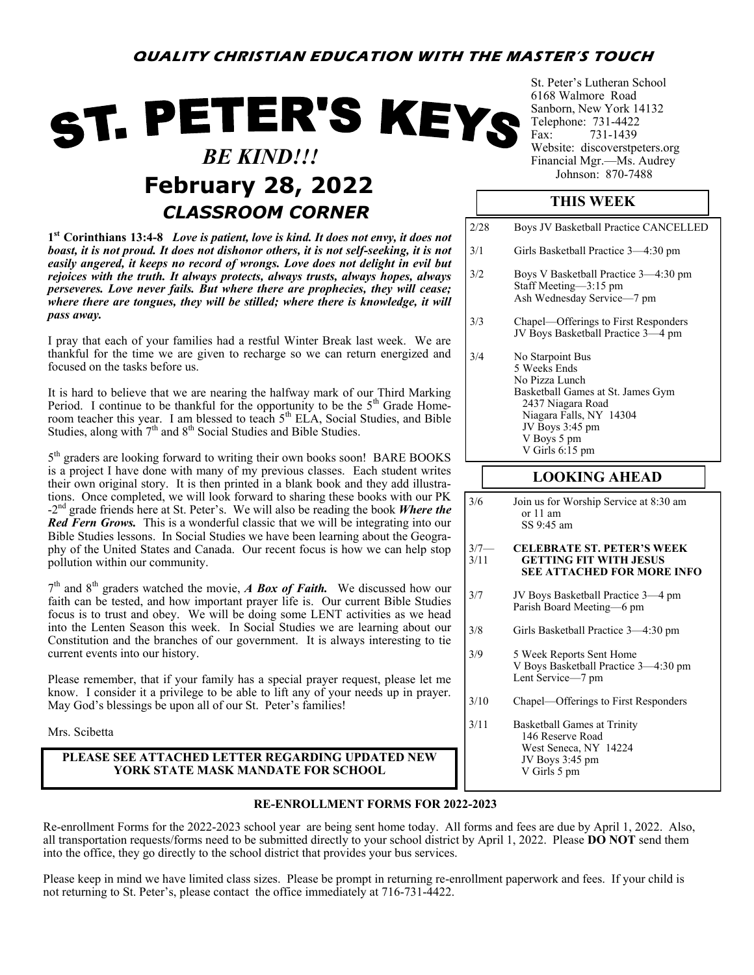# ST. PETER'S KEYS  *BE KIND!!!* **February 28, 2022** *CLASSROOM CORNER*

**1 st Corinthians 13:4-8** *Love is patient, love is kind. It does not envy, it does not boast, it is not proud. It does not dishonor others, it is not self-seeking, it is not easily angered, it keeps no record of wrongs. Love does not delight in evil but rejoices with the truth. It always protects, always trusts, always hopes, always perseveres. Love never fails. But where there are prophecies, they will cease; where there are tongues, they will be stilled; where there is knowledge, it will pass away.*

I pray that each of your families had a restful Winter Break last week. We are thankful for the time we are given to recharge so we can return energized and focused on the tasks before us.

It is hard to believe that we are nearing the halfway mark of our Third Marking Period. I continue to be thankful for the opportunity to be the 5<sup>th</sup> Grade Homeroom teacher this year. I am blessed to teach  $5<sup>th</sup> ELA$ , Social Studies, and Bible Studies, along with 7<sup>th</sup> and 8<sup>th</sup> Social Studies and Bible Studies.

5<sup>th</sup> graders are looking forward to writing their own books soon! BARE BOOKS is a project I have done with many of my previous classes. Each student writes their own original story. It is then printed in a blank book and they add illustrations. Once completed, we will look forward to sharing these books with our PK -2<sup>nd</sup> grade friends here at St. Peter's. We will also be reading the book *Where the Red Fern Grows.* This is a wonderful classic that we will be integrating into our Bible Studies lessons. In Social Studies we have been learning about the Geography of the United States and Canada. Our recent focus is how we can help stop pollution within our community.

7<sup>th</sup> and 8<sup>th</sup> graders watched the movie, *A Box of Faith*. We discussed how our faith can be tested, and how important prayer life is. Our current Bible Studies focus is to trust and obey. We will be doing some LENT activities as we head into the Lenten Season this week. In Social Studies we are learning about our Constitution and the branches of our government. It is always interesting to tie current events into our history.

Please remember, that if your family has a special prayer request, please let me know. I consider it a privilege to be able to lift any of your needs up in prayer. May God's blessings be upon all of our St. Peter's families!

Mrs. Scibetta

## **PLEASE SEE ATTACHED LETTER REGARDING UPDATED NEW YORK STATE MASK MANDATE FOR SCHOOL**

St. Peter's Lutheran School 6168 Walmore Road Sanborn, New York 14132 Telephone: 731-4422<br>Fax: 731-1439 731-1439 Website: discoverstpeters.org Financial Mgr.—Ms. Audrey<br>Johnson: 870-7488

## **THIS WEEK**

- 2/28 Boys JV Basketball Practice CANCELLED 3/1 Girls Basketball Practice 3—4:30 pm 3/2 Boys V Basketball Practice 3—4:30 pm Staff Meeting—3:15 pm Ash Wednesday Service—7 pm
- 3/3 Chapel—Offerings to First Responders JV Boys Basketball Practice 3—4 pm
- 3/4 No Starpoint Bus 5 Weeks Ends No Pizza Lunch Basketball Games at St. James Gym 2437 Niagara Road Niagara Falls, NY 14304 JV Boys 3:45 pm V Boys 5 pm V Girls 6:15 pm

## **LOOKING AHEAD**

3/6 Join us for Worship Service at 8:30 am or 11 am SS 9:45 am

#### 3/7— **CELEBRATE ST. PETER'S WEEK** 3/11 **GETTING FIT WITH JESUS SEE ATTACHED FOR MORE INFO**

- 3/7 JV Boys Basketball Practice 3—4 pm Parish Board Meeting—6 pm
- 3/8 Girls Basketball Practice 3—4:30 pm
- 3/9 5 Week Reports Sent Home V Boys Basketball Practice 3—4:30 pm Lent Service—7 pm
- 3/10 Chapel—Offerings to First Responders
- 3/11 Basketball Games at Trinity 146 Reserve Road West Seneca, NY 14224 JV Boys 3:45 pm V Girls 5 pm

## **RE-ENROLLMENT FORMS FOR 2022-2023**

Re-enrollment Forms for the 2022-2023 school year are being sent home today. All forms and fees are due by April 1, 2022. Also, all transportation requests/forms need to be submitted directly to your school district by April 1, 2022. Please **DO NOT** send them into the office, they go directly to the school district that provides your bus services.

Please keep in mind we have limited class sizes. Please be prompt in returning re-enrollment paperwork and fees. If your child is not returning to St. Peter's, please contact the office immediately at 716-731-4422.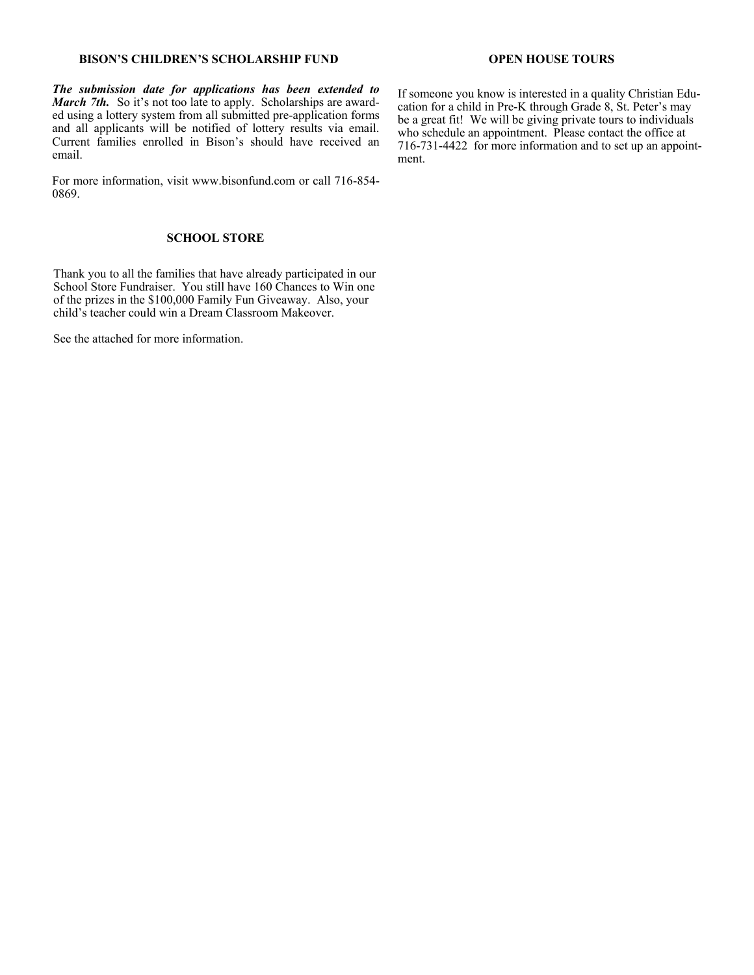#### **BISON'S CHILDREN'S SCHOLARSHIP FUND**

*The submission date for applications has been extended to March 7th.* So it's not too late to apply. Scholarships are awarded using a lottery system from all submitted pre-application forms and all applicants will be notified of lottery results via email. Current families enrolled in Bison's should have received an email.

For more information, visit www.bisonfund.com or call 716-854- 0869.

#### **SCHOOL STORE**

Thank you to all the families that have already participated in our School Store Fundraiser. You still have 160 Chances to Win one of the prizes in the \$100,000 Family Fun Giveaway. Also, your child's teacher could win a Dream Classroom Makeover.

See the attached for more information.

#### **OPEN HOUSE TOURS**

If someone you know is interested in a quality Christian Education for a child in Pre-K through Grade 8, St. Peter's may be a great fit! We will be giving private tours to individuals who schedule an appointment. Please contact the office at 716-731-4422 for more information and to set up an appointment.